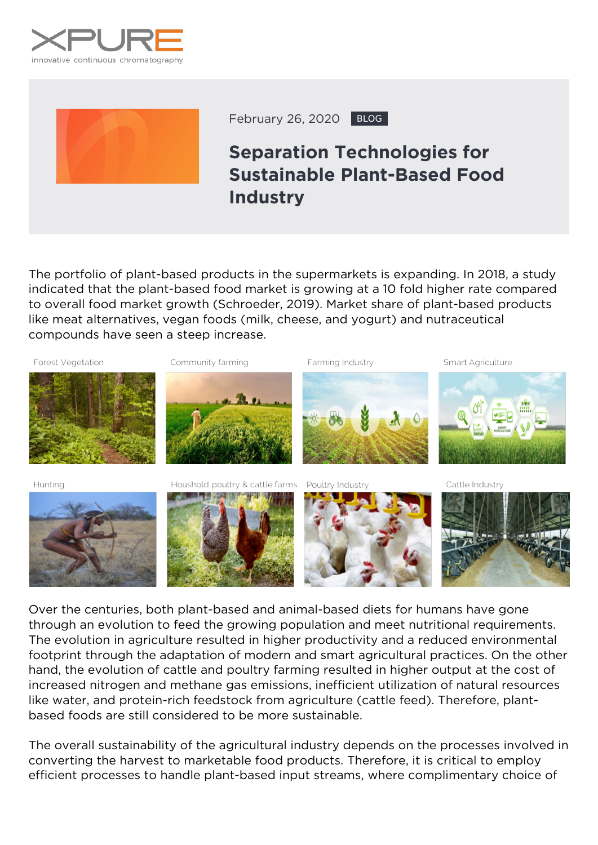



February 26, 2020 BLOG

## **Separation Technologies for Sustainable Plant-Based Food Industry**

The portfolio of plant-based products in the supermarkets is expanding. In 2018, a study indicated that the plant-based food market is growing at a 10 fold higher rate compared to overall food market growth (Schroeder, 2019). Market share of plant-based products like meat alternatives, vegan foods (milk, cheese, and yogurt) and nutraceutical compounds have seen a steep increase.



Over the centuries, both plant-based and animal-based diets for humans have gone through an evolution to feed the growing population and meet nutritional requirements. The evolution in agriculture resulted in higher productivity and a reduced environmental footprint through the adaptation of modern and smart agricultural practices. On the other hand, the evolution of cattle and poultry farming resulted in higher output at the cost of increased nitrogen and methane gas emissions, inefficient utilization of natural resources like water, and protein-rich feedstock from agriculture (cattle feed). Therefore, plantbased foods are still considered to be more sustainable.

The overall sustainability of the agricultural industry depends on the processes involved in converting the harvest to marketable food products. Therefore, it is critical to employ efficient processes to handle plant-based input streams, where complimentary choice of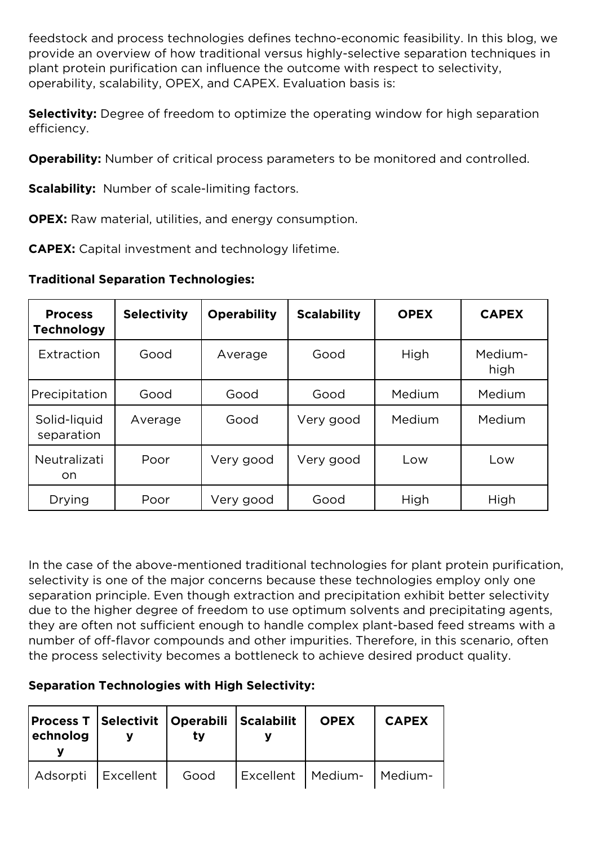feedstock and process technologies defines techno-economic feasibility. In this blog, we provide an overview of how traditional versus highly-selective separation techniques in plant protein purification can influence the outcome with respect to selectivity, operability, scalability, OPEX, and CAPEX. Evaluation basis is:

**Selectivity:** Degree of freedom to optimize the operating window for high separation efficiency.

**Operability:** Number of critical process parameters to be monitored and controlled.

**Scalability:** Number of scale-limiting factors.

**OPEX:** Raw material, utilities, and energy consumption.

**CAPEX:** Capital investment and technology lifetime.

**Traditional Separation Technologies:**

| <b>Process</b><br><b>Technology</b> | <b>Selectivity</b> | <b>Operability</b> | <b>Scalability</b> | <b>OPEX</b> | <b>CAPEX</b>    |
|-------------------------------------|--------------------|--------------------|--------------------|-------------|-----------------|
| Extraction                          | Good               | Average            | Good               | High        | Medium-<br>high |
| Precipitation                       | Good               | Good               | Good               | Medium      | Medium          |
| Solid-liquid<br>separation          | Average            | Good               | Very good          | Medium      | Medium          |
| Neutralizati<br>on.                 | Poor               | Very good          | Very good          | Low         | Low             |
| Drying                              | Poor               | Very good          | Good               | High        | High            |

In the case of the above-mentioned traditional technologies for plant protein purification, selectivity is one of the major concerns because these technologies employ only one separation principle. Even though extraction and precipitation exhibit better selectivity due to the higher degree of freedom to use optimum solvents and precipitating agents, they are often not sufficient enough to handle complex plant-based feed streams with a number of off-flavor compounds and other impurities. Therefore, in this scenario, often the process selectivity becomes a bottleneck to achieve desired product quality.

## **Separation Technologies with High Selectivity:**

| <b>Process T Selectivit   Operabili   Scalabilit</b><br>echnolog | tv   |                     | <b>OPEX</b> | <b>CAPEX</b> |
|------------------------------------------------------------------|------|---------------------|-------------|--------------|
| Adsorpti   Excellent                                             | Good | Excellent   Medium- |             | Medium-      |